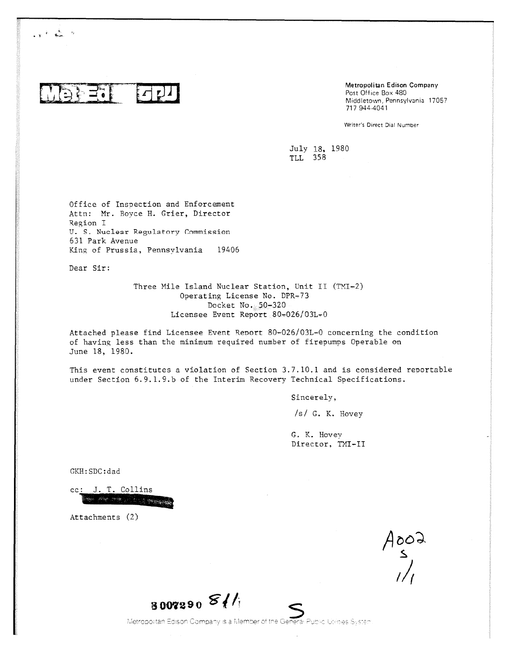$\equiv$   $\bullet$ 

 $\mathbf{y} \in \mathbb{R}^{n \times n}$ 

Metropolitan Edison Company Post Office Box 480 Middletown, Pennsylvania 17057 717 944-4041

Writer's Direct Dial Number

July 18, 1980 TLL 358

Office of Inspection and Enforcement Attn: Mr. Boyce H. Grier, Director Region I U. S. Nuclear Regulatory Commission 631 Park Avenue King of Prussia, Pennsylvania 19406

Dear Sir:

Three Mile Island Nuclear Station, Unit II (TMI-2) Operating License No. DPR-73 Docket No. 50-320 Licensee Event Report 80-026/03L-0

Attached please find Licensee Event Report 80-026/03L-0 concerning the condition of having less than the minimum required number of firepumps Operable on June 18, 1980.

This event constitutes a violation of Section 3.7.10.1 and is considered reportable under Section 6.9.1.9.b of the Interim Recovery Technical Specifications.

Sincerely,

/s/ G. K. Hovey

G. K. Hovey Director, TMI-II

GKH:SDC:dad

cc: J. T. Collins يهبهم بالمراتب بعد مواد

Attachments (2)

 $A \circ \circ \circ \circ$ <br> $A \circ \circ \circ \circ \circ$ 

<sup>8007290</sup>*g* /,

Metropolitan Edison Company is a Member of the Genera! Public Utilities System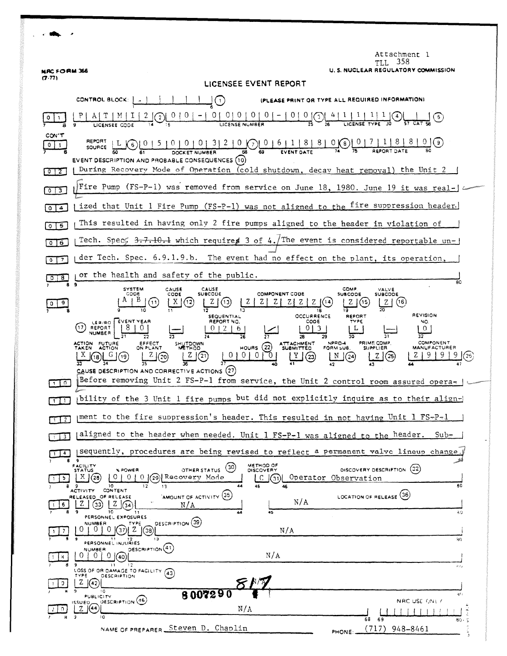| <b>MAC FORM 366</b>           | Attachment 1<br>- 358<br>TH.<br>U. S. NUCLEAR REGULATORY COMMISSION                                                                                                                                                                                                                                                                                                                                                                                                                                                                                                                                      |
|-------------------------------|----------------------------------------------------------------------------------------------------------------------------------------------------------------------------------------------------------------------------------------------------------------------------------------------------------------------------------------------------------------------------------------------------------------------------------------------------------------------------------------------------------------------------------------------------------------------------------------------------------|
| (7.77)                        | LICENSEE EVENT REPORT                                                                                                                                                                                                                                                                                                                                                                                                                                                                                                                                                                                    |
|                               | CONTROL BLOCK:   .<br>EASE PRINT OR TYPE ALL REQUIRED INFORMATION!<br>$\rfloor$ (1)                                                                                                                                                                                                                                                                                                                                                                                                                                                                                                                      |
|                               | $\underbrace{0 \mid 0 \mid 0 \mid 0 \mid 0 \mid - \mid 0 \mid 0}_{25} \underbrace{0 \mid 4}_{26}$                                                                                                                                                                                                                                                                                                                                                                                                                                                                                                        |
| CON'T<br>0<br>$\mathbf{1}$    | REPORT<br>$\frac{1}{2}$ (9)<br>$\left( 6 \right)$<br>SOURCE (<br>EVENT DESCRIPTION AND PROBABLE CONSEQUENCES (10)                                                                                                                                                                                                                                                                                                                                                                                                                                                                                        |
| 012                           | During Recovery Mode of Operation (cold shutdown, decay heat removal) the Unit 2                                                                                                                                                                                                                                                                                                                                                                                                                                                                                                                         |
| 3<br>$^{\circ}$ 1             | Fire Pump (FS-P-1) was removed from service on June 18, 1980. June 19 it was real-                                                                                                                                                                                                                                                                                                                                                                                                                                                                                                                       |
| 4                             | ized that Unit 1 Fire Pump (FS-P-1) was not aligned to the fire suppression header.                                                                                                                                                                                                                                                                                                                                                                                                                                                                                                                      |
| 5<br>$\circ$                  | This resulted in having only 2 fire pumps aligned to the header in violation of                                                                                                                                                                                                                                                                                                                                                                                                                                                                                                                          |
| 6<br>0                        | Tech. Spec. 3.7.10.1 which requires 3 of 4./The event is considered reportable un-                                                                                                                                                                                                                                                                                                                                                                                                                                                                                                                       |
| 7                             | der Tech. Spec. 6.9.1.9.b. The event had no effect on the plant, its operation,                                                                                                                                                                                                                                                                                                                                                                                                                                                                                                                          |
| 8.                            | or the health and safety of the public.<br>80                                                                                                                                                                                                                                                                                                                                                                                                                                                                                                                                                            |
|                               | $\bullet$<br>COMP<br><b>SYSTEM</b><br><b>CAUSE</b><br>CAUSE<br>VALVE<br><b>SUBCODE</b><br><b>COMPONENT CODE</b><br>CODE<br>CODE<br><b>SUBCODE</b><br><b>SUBCODE</b>                                                                                                                                                                                                                                                                                                                                                                                                                                      |
| 9.                            | $A \mid B$<br>(11)<br>ΖĮ<br>X<br>(12)<br>Z<br>(14<br>(16<br>18<br>REVISION<br><b>OCCURRENCE</b><br>REPORT                                                                                                                                                                                                                                                                                                                                                                                                                                                                                                |
| 110                           | SEQUENTIAL<br>LER/RO   EVENT YEAR<br>REPORT NO.<br>CODE<br>TYPE<br>NO.<br>REPORT<br>.17<br>013<br>-2<br>6<br>L<br>$\circ$<br><b>NUMBER</b><br>28<br>COMPONENT<br>NPRO-4<br><b>PRIME COMP.</b><br>ACTION FUTURE<br>EFFECT<br>SHUTDOWN<br><b>ATTACHMENT</b><br>(22)<br>TAKEN ACTION<br><b>HOURS</b><br>ON PLANT<br><b>MANUFACTURER</b><br>FORM SUB.<br>SUPPLIER<br>METHOD<br><b>SUBMITTED</b><br>0 <sub>1</sub><br>(2!)<br>(20)<br>$\mathfrak{g}$<br>(23)<br>(24)<br>CAUSE DESCRIPTION AND CORRECTIVE ACTIONS $(27)$<br>Before removing Unit 2 FS-P-1 from service, the Unit 2 control room assured opera- |
|                               | bility of the 3 Unit 1 fire pumps but did not explicitly inquire as to their align-                                                                                                                                                                                                                                                                                                                                                                                                                                                                                                                      |
| $\overline{1}$ $\overline{2}$ | ment to the fire suppression's header. This resulted in not having Unit 1 $FS-P-1$                                                                                                                                                                                                                                                                                                                                                                                                                                                                                                                       |
| 3 <sup>1</sup>                | aligned to the header when needed. Unit 1 FS-P-1 was aligned to the header.<br>$Sub-$                                                                                                                                                                                                                                                                                                                                                                                                                                                                                                                    |
| $\overline{4}$                | sequently, procedures are being revised to reflect a permanent valve lineup change                                                                                                                                                                                                                                                                                                                                                                                                                                                                                                                       |
|                               | METHOD OF<br>FACILITY<br>(30)<br>DISCOVERY DESCRIPTION (32)<br>OTHER STATUS<br>DISCOVERY<br>% POWER<br><b>STATUS</b><br>(29) Recovery Mode<br>X/(28)<br>O L<br>0 <sup>1</sup><br>$\Omega$<br>Operator Observation<br>(31)<br>C<br>80<br>44<br>$10^{-1}$<br>13                                                                                                                                                                                                                                                                                                                                            |
|                               | CONTENT<br><b>ACTIVITY</b><br>AMOUNT OF ACTIVITY (35)<br>LOCATION OF RELEASE (36)<br>RELEASED OF RELEASE<br>N/A<br>Z.<br>$Z \mid (34)$<br>33)<br>N/A<br>9<br>10<br>45<br>60<br>44<br>11                                                                                                                                                                                                                                                                                                                                                                                                                  |
|                               | PERSONNEL EXPOSURES<br>DESCRIPTION (39)<br>NUMBER<br>TYPE<br>01<br>$\Omega$<br>z<br>N/A<br>38<br>11<br>80<br>PERSONNEL INJURIES                                                                                                                                                                                                                                                                                                                                                                                                                                                                          |
| н.                            | DESCRIPTION <sup>(41)</sup><br>NUMBER<br>N/A<br>0(40)<br>- 9<br>11<br>$\frac{1}{2}$<br>$4 + 6 +$                                                                                                                                                                                                                                                                                                                                                                                                                                                                                                         |
| 9.                            | LOSS OF OR DAMAGE TO FACILITY (43)<br>TYPE<br><b>DESCRIPTION</b><br>Z.<br>(42)<br>10<br>8007290<br>زعود                                                                                                                                                                                                                                                                                                                                                                                                                                                                                                  |
|                               | PUBLICITY<br>DESCRIPTION (46)<br>NAC USE ONLY<br>ISSUED.<br>(44<br>N/A<br>Z.                                                                                                                                                                                                                                                                                                                                                                                                                                                                                                                             |
|                               | ١o<br>69<br>68<br>80 -<br>NAME OF PREPARER Steven D. Chaplin<br>(717)<br>948-8461<br>PHONE:                                                                                                                                                                                                                                                                                                                                                                                                                                                                                                              |